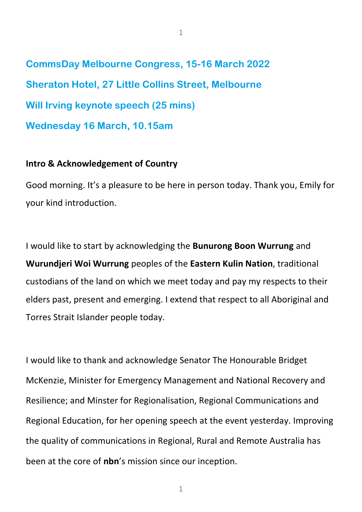**CommsDay Melbourne Congress, 15-16 March 2022 Sheraton Hotel, 27 Little Collins Street, Melbourne Will Irving keynote speech (25 mins) Wednesday 16 March, 10.15am**

### **Intro & Acknowledgement of Country**

Good morning. It's a pleasure to be here in person today. Thank you, Emily for your kind introduction.

I would like to start by acknowledging the **Bunurong Boon Wurrung** and **Wurundjeri Woi Wurrung** peoples of the **Eastern Kulin Nation**, traditional custodians of the land on which we meet today and pay my respects to their elders past, present and emerging. I extend that respect to all Aboriginal and Torres Strait Islander people today.

I would like to thank and acknowledge Senator The Honourable Bridget McKenzie, Minister for Emergency Management and National Recovery and Resilience; and Minster for Regionalisation, Regional Communications and Regional Education, for her opening speech at the event yesterday. Improving the quality of communications in Regional, Rural and Remote Australia has been at the core of **nbn**'s mission since our inception.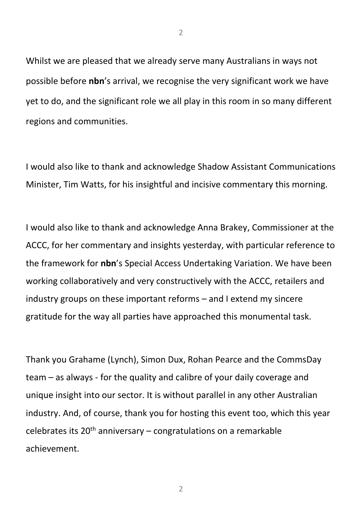Whilst we are pleased that we already serve many Australians in ways not possible before **nbn**'s arrival, we recognise the very significant work we have yet to do, and the significant role we all play in this room in so many different regions and communities.

I would also like to thank and acknowledge Shadow Assistant Communications Minister, Tim Watts, for his insightful and incisive commentary this morning.

I would also like to thank and acknowledge Anna Brakey, Commissioner at the ACCC, for her commentary and insights yesterday, with particular reference to the framework for **nbn**'s Special Access Undertaking Variation. We have been working collaboratively and very constructively with the ACCC, retailers and industry groups on these important reforms – and I extend my sincere gratitude for the way all parties have approached this monumental task.

Thank you Grahame (Lynch), Simon Dux, Rohan Pearce and the CommsDay team – as always - for the quality and calibre of your daily coverage and unique insight into our sector. It is without parallel in any other Australian industry. And, of course, thank you for hosting this event too, which this year celebrates its  $20<sup>th</sup>$  anniversary – congratulations on a remarkable achievement.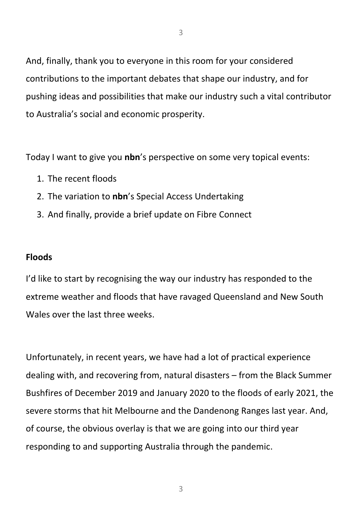And, finally, thank you to everyone in this room for your considered contributions to the important debates that shape our industry, and for pushing ideas and possibilities that make our industry such a vital contributor to Australia's social and economic prosperity.

Today I want to give you **nbn**'s perspective on some very topical events:

- 1. The recent floods
- 2. The variation to **nbn**'s Special Access Undertaking
- 3. And finally, provide a brief update on Fibre Connect

# **Floods**

I'd like to start by recognising the way our industry has responded to the extreme weather and floods that have ravaged Queensland and New South Wales over the last three weeks.

Unfortunately, in recent years, we have had a lot of practical experience dealing with, and recovering from, natural disasters – from the Black Summer Bushfires of December 2019 and January 2020 to the floods of early 2021, the severe storms that hit Melbourne and the Dandenong Ranges last year. And, of course, the obvious overlay is that we are going into our third year responding to and supporting Australia through the pandemic.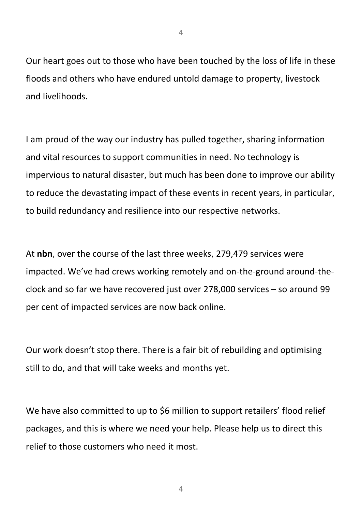4

Our heart goes out to those who have been touched by the loss of life in these floods and others who have endured untold damage to property, livestock and livelihoods.

I am proud of the way our industry has pulled together, sharing information and vital resources to support communities in need. No technology is impervious to natural disaster, but much has been done to improve our ability to reduce the devastating impact of these events in recent years, in particular, to build redundancy and resilience into our respective networks.

At **nbn**, over the course of the last three weeks, 279,479 services were impacted. We've had crews working remotely and on-the-ground around-theclock and so far we have recovered just over 278,000 services – so around 99 per cent of impacted services are now back online.

Our work doesn't stop there. There is a fair bit of rebuilding and optimising still to do, and that will take weeks and months yet.

We have also committed to up to \$6 million to support retailers' flood relief packages, and this is where we need your help. Please help us to direct this relief to those customers who need it most.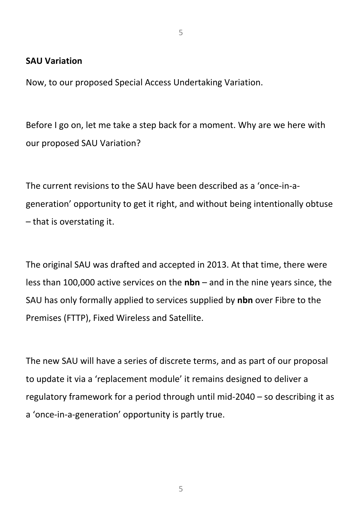### **SAU Variation**

Now, to our proposed Special Access Undertaking Variation.

Before I go on, let me take a step back for a moment. Why are we here with our proposed SAU Variation?

The current revisions to the SAU have been described as a 'once-in-ageneration' opportunity to get it right, and without being intentionally obtuse – that is overstating it.

The original SAU was drafted and accepted in 2013. At that time, there were less than 100,000 active services on the **nbn** – and in the nine years since, the SAU has only formally applied to services supplied by **nbn** over Fibre to the Premises (FTTP), Fixed Wireless and Satellite.

The new SAU will have a series of discrete terms, and as part of our proposal to update it via a 'replacement module' it remains designed to deliver a regulatory framework for a period through until mid-2040 – so describing it as a 'once-in-a-generation' opportunity is partly true.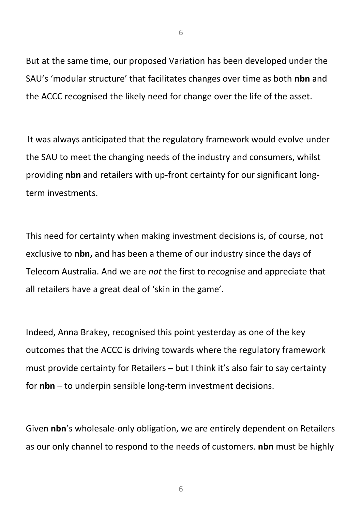But at the same time, our proposed Variation has been developed under the SAU's 'modular structure' that facilitates changes over time as both **nbn** and the ACCC recognised the likely need for change over the life of the asset.

It was always anticipated that the regulatory framework would evolve under the SAU to meet the changing needs of the industry and consumers, whilst providing **nbn** and retailers with up-front certainty for our significant longterm investments.

This need for certainty when making investment decisions is, of course, not exclusive to **nbn,** and has been a theme of our industry since the days of Telecom Australia. And we are *not* the first to recognise and appreciate that all retailers have a great deal of 'skin in the game'.

Indeed, Anna Brakey, recognised this point yesterday as one of the key outcomes that the ACCC is driving towards where the regulatory framework must provide certainty for Retailers – but I think it's also fair to say certainty for **nbn** – to underpin sensible long-term investment decisions.

Given **nbn**'s wholesale-only obligation, we are entirely dependent on Retailers as our only channel to respond to the needs of customers. **nbn** must be highly

6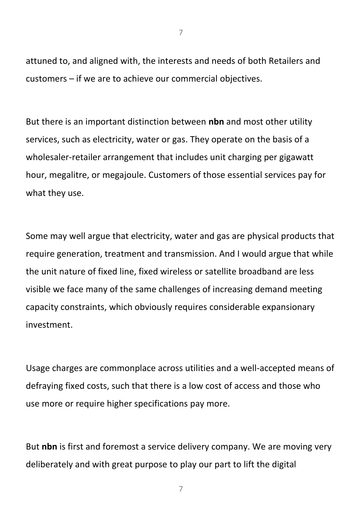attuned to, and aligned with, the interests and needs of both Retailers and customers – if we are to achieve our commercial objectives.

But there is an important distinction between **nbn** and most other utility services, such as electricity, water or gas. They operate on the basis of a wholesaler-retailer arrangement that includes unit charging per gigawatt hour, megalitre, or megajoule. Customers of those essential services pay for what they use.

Some may well argue that electricity, water and gas are physical products that require generation, treatment and transmission. And I would argue that while the unit nature of fixed line, fixed wireless or satellite broadband are less visible we face many of the same challenges of increasing demand meeting capacity constraints, which obviously requires considerable expansionary investment.

Usage charges are commonplace across utilities and a well-accepted means of defraying fixed costs, such that there is a low cost of access and those who use more or require higher specifications pay more.

But **nbn** is first and foremost a service delivery company. We are moving very deliberately and with great purpose to play our part to lift the digital

7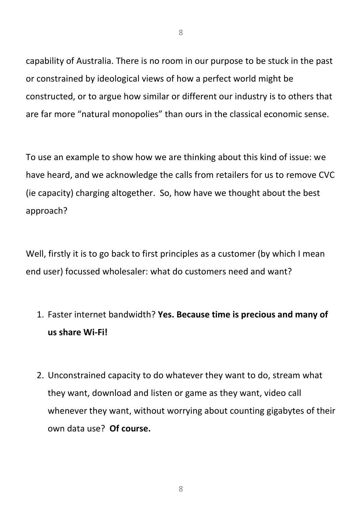capability of Australia. There is no room in our purpose to be stuck in the past or constrained by ideological views of how a perfect world might be constructed, or to argue how similar or different our industry is to others that are far more "natural monopolies" than ours in the classical economic sense.

To use an example to show how we are thinking about this kind of issue: we have heard, and we acknowledge the calls from retailers for us to remove CVC (ie capacity) charging altogether. So, how have we thought about the best approach?

Well, firstly it is to go back to first principles as a customer (by which I mean end user) focussed wholesaler: what do customers need and want?

- 1. Faster internet bandwidth? **Yes. Because time is precious and many of us share Wi-Fi!**
- 2. Unconstrained capacity to do whatever they want to do, stream what they want, download and listen or game as they want, video call whenever they want, without worrying about counting gigabytes of their own data use? **Of course.**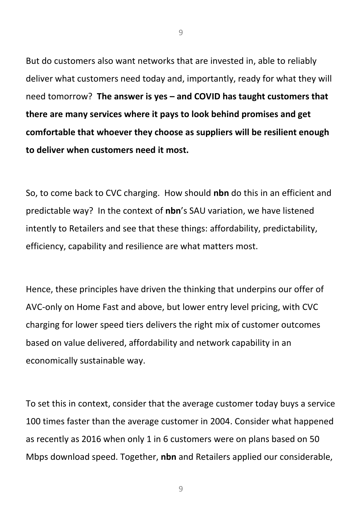But do customers also want networks that are invested in, able to reliably deliver what customers need today and, importantly, ready for what they will need tomorrow? **The answer is yes – and COVID has taught customers that there are many services where it pays to look behind promises and get comfortable that whoever they choose as suppliers will be resilient enough to deliver when customers need it most.** 

So, to come back to CVC charging. How should **nbn** do this in an efficient and predictable way? In the context of **nbn**'s SAU variation, we have listened intently to Retailers and see that these things: affordability, predictability, efficiency, capability and resilience are what matters most.

Hence, these principles have driven the thinking that underpins our offer of AVC-only on Home Fast and above, but lower entry level pricing, with CVC charging for lower speed tiers delivers the right mix of customer outcomes based on value delivered, affordability and network capability in an economically sustainable way.

To set this in context, consider that the average customer today buys a service 100 times faster than the average customer in 2004. Consider what happened as recently as 2016 when only 1 in 6 customers were on plans based on 50 Mbps download speed. Together, **nbn** and Retailers applied our considerable,

9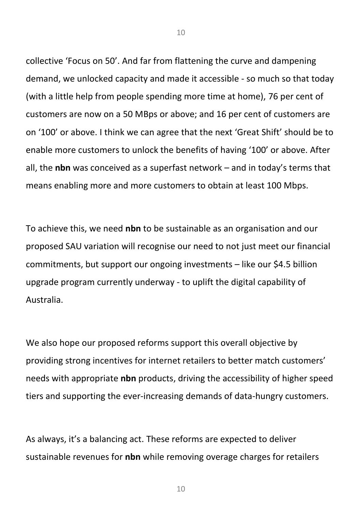collective 'Focus on 50'. And far from flattening the curve and dampening demand, we unlocked capacity and made it accessible - so much so that today (with a little help from people spending more time at home), 76 per cent of customers are now on a 50 MBps or above; and 16 per cent of customers are on '100' or above. I think we can agree that the next 'Great Shift' should be to enable more customers to unlock the benefits of having '100' or above. After all, the **nbn** was conceived as a superfast network – and in today's terms that means enabling more and more customers to obtain at least 100 Mbps.

To achieve this, we need **nbn** to be sustainable as an organisation and our proposed SAU variation will recognise our need to not just meet our financial commitments, but support our ongoing investments – like our \$4.5 billion upgrade program currently underway - to uplift the digital capability of Australia.

We also hope our proposed reforms support this overall objective by providing strong incentives for internet retailers to better match customers' needs with appropriate **nbn** products, driving the accessibility of higher speed tiers and supporting the ever-increasing demands of data-hungry customers.

As always, it's a balancing act. These reforms are expected to deliver sustainable revenues for **nbn** while removing overage charges for retailers

10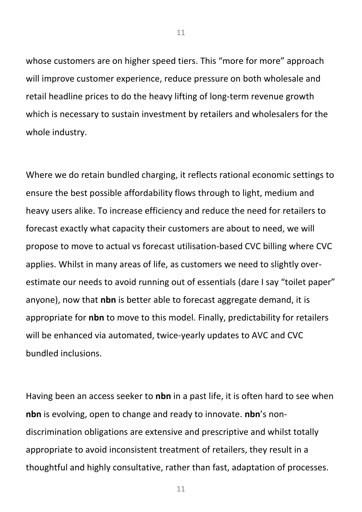whose customers are on higher speed tiers. This "more for more" approach will improve customer experience, reduce pressure on both wholesale and retail headline prices to do the heavy lifting of long-term revenue growth which is necessary to sustain investment by retailers and wholesalers for the whole industry.

Where we do retain bundled charging, it reflects rational economic settings to ensure the best possible affordability flows through to light, medium and heavy users alike. To increase efficiency and reduce the need for retailers to forecast exactly what capacity their customers are about to need, we will propose to move to actual vs forecast utilisation-based CVC billing where CVC applies. Whilst in many areas of life, as customers we need to slightly overestimate our needs to avoid running out of essentials (dare I say "toilet paper" anyone), now that **nbn** is better able to forecast aggregate demand, it is appropriate for **nbn** to move to this model. Finally, predictability for retailers will be enhanced via automated, twice-yearly updates to AVC and CVC bundled inclusions.

Having been an access seeker to **nbn** in a past life, it is often hard to see when **nbn** is evolving, open to change and ready to innovate. **nbn**'s nondiscrimination obligations are extensive and prescriptive and whilst totally appropriate to avoid inconsistent treatment of retailers, they result in a thoughtful and highly consultative, rather than fast, adaptation of processes.

11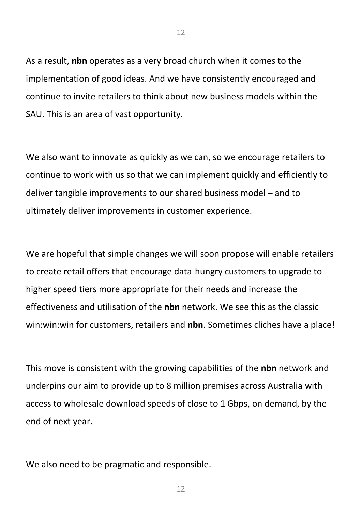As a result, **nbn** operates as a very broad church when it comes to the implementation of good ideas. And we have consistently encouraged and continue to invite retailers to think about new business models within the SAU. This is an area of vast opportunity.

We also want to innovate as quickly as we can, so we encourage retailers to continue to work with us so that we can implement quickly and efficiently to deliver tangible improvements to our shared business model – and to ultimately deliver improvements in customer experience.

We are hopeful that simple changes we will soon propose will enable retailers to create retail offers that encourage data-hungry customers to upgrade to higher speed tiers more appropriate for their needs and increase the effectiveness and utilisation of the **nbn** network. We see this as the classic win:win:win for customers, retailers and **nbn**. Sometimes cliches have a place!

This move is consistent with the growing capabilities of the **nbn** network and underpins our aim to provide up to 8 million premises across Australia with access to wholesale download speeds of close to 1 Gbps, on demand, by the end of next year.

We also need to be pragmatic and responsible.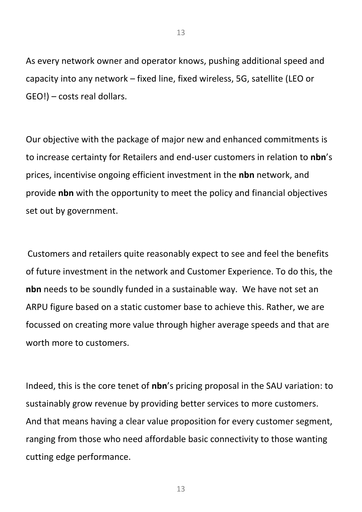As every network owner and operator knows, pushing additional speed and capacity into any network – fixed line, fixed wireless, 5G, satellite (LEO or GEO!) – costs real dollars.

Our objective with the package of major new and enhanced commitments is to increase certainty for Retailers and end-user customers in relation to **nbn**'s prices, incentivise ongoing efficient investment in the **nbn** network, and provide **nbn** with the opportunity to meet the policy and financial objectives set out by government.

Customers and retailers quite reasonably expect to see and feel the benefits of future investment in the network and Customer Experience. To do this, the **nbn** needs to be soundly funded in a sustainable way. We have not set an ARPU figure based on a static customer base to achieve this. Rather, we are focussed on creating more value through higher average speeds and that are worth more to customers.

Indeed, this is the core tenet of **nbn**'s pricing proposal in the SAU variation: to sustainably grow revenue by providing better services to more customers. And that means having a clear value proposition for every customer segment, ranging from those who need affordable basic connectivity to those wanting cutting edge performance.

13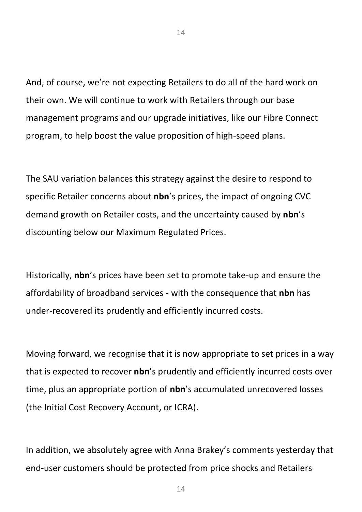And, of course, we're not expecting Retailers to do all of the hard work on their own. We will continue to work with Retailers through our base management programs and our upgrade initiatives, like our Fibre Connect program, to help boost the value proposition of high-speed plans.

The SAU variation balances this strategy against the desire to respond to specific Retailer concerns about **nbn**'s prices, the impact of ongoing CVC demand growth on Retailer costs, and the uncertainty caused by **nbn**'s discounting below our Maximum Regulated Prices.

Historically, **nbn**'s prices have been set to promote take-up and ensure the affordability of broadband services - with the consequence that **nbn** has under-recovered its prudently and efficiently incurred costs.

Moving forward, we recognise that it is now appropriate to set prices in a way that is expected to recover **nbn**'s prudently and efficiently incurred costs over time, plus an appropriate portion of **nbn**'s accumulated unrecovered losses (the Initial Cost Recovery Account, or ICRA).

In addition, we absolutely agree with Anna Brakey's comments yesterday that end-user customers should be protected from price shocks and Retailers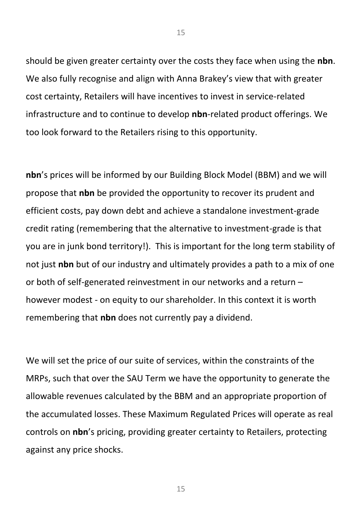should be given greater certainty over the costs they face when using the **nbn**. We also fully recognise and align with Anna Brakey's view that with greater cost certainty, Retailers will have incentives to invest in service-related infrastructure and to continue to develop **nbn**-related product offerings. We too look forward to the Retailers rising to this opportunity.

15

**nbn**'s prices will be informed by our Building Block Model (BBM) and we will propose that **nbn** be provided the opportunity to recover its prudent and efficient costs, pay down debt and achieve a standalone investment-grade credit rating (remembering that the alternative to investment-grade is that you are in junk bond territory!). This is important for the long term stability of not just **nbn** but of our industry and ultimately provides a path to a mix of one or both of self-generated reinvestment in our networks and a return – however modest - on equity to our shareholder. In this context it is worth remembering that **nbn** does not currently pay a dividend.

We will set the price of our suite of services, within the constraints of the MRPs, such that over the SAU Term we have the opportunity to generate the allowable revenues calculated by the BBM and an appropriate proportion of the accumulated losses. These Maximum Regulated Prices will operate as real controls on **nbn**'s pricing, providing greater certainty to Retailers, protecting against any price shocks.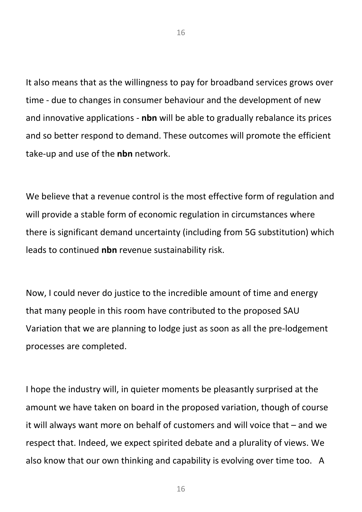It also means that as the willingness to pay for broadband services grows over time - due to changes in consumer behaviour and the development of new and innovative applications - **nbn** will be able to gradually rebalance its prices and so better respond to demand. These outcomes will promote the efficient take-up and use of the **nbn** network.

We believe that a revenue control is the most effective form of regulation and will provide a stable form of economic regulation in circumstances where there is significant demand uncertainty (including from 5G substitution) which leads to continued **nbn** revenue sustainability risk.

Now, I could never do justice to the incredible amount of time and energy that many people in this room have contributed to the proposed SAU Variation that we are planning to lodge just as soon as all the pre-lodgement processes are completed.

I hope the industry will, in quieter moments be pleasantly surprised at the amount we have taken on board in the proposed variation, though of course it will always want more on behalf of customers and will voice that – and we respect that. Indeed, we expect spirited debate and a plurality of views. We also know that our own thinking and capability is evolving over time too. A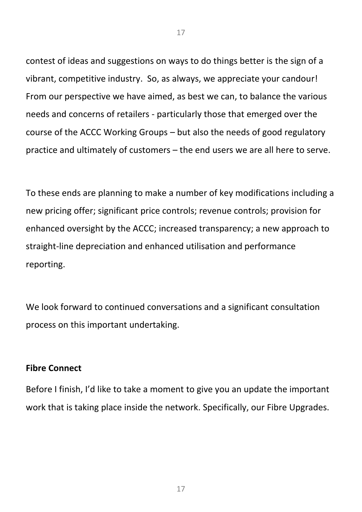contest of ideas and suggestions on ways to do things better is the sign of a vibrant, competitive industry. So, as always, we appreciate your candour! From our perspective we have aimed, as best we can, to balance the various needs and concerns of retailers - particularly those that emerged over the course of the ACCC Working Groups – but also the needs of good regulatory practice and ultimately of customers – the end users we are all here to serve.

To these ends are planning to make a number of key modifications including a new pricing offer; significant price controls; revenue controls; provision for enhanced oversight by the ACCC; increased transparency; a new approach to straight-line depreciation and enhanced utilisation and performance reporting.

We look forward to continued conversations and a significant consultation process on this important undertaking.

#### **Fibre Connect**

Before I finish, I'd like to take a moment to give you an update the important work that is taking place inside the network. Specifically, our Fibre Upgrades.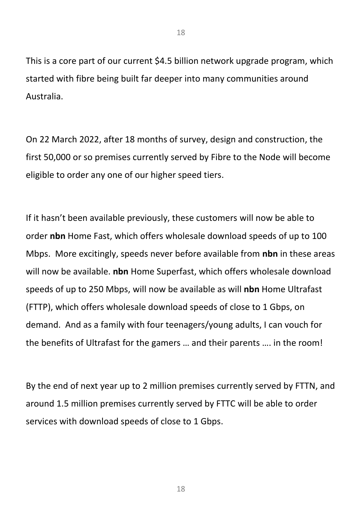This is a core part of our current \$4.5 billion network upgrade program, which started with fibre being built far deeper into many communities around Australia.

On 22 March 2022, after 18 months of survey, design and construction, the first 50,000 or so premises currently served by Fibre to the Node will become eligible to order any one of our higher speed tiers.

If it hasn't been available previously, these customers will now be able to order **nbn** Home Fast, which offers wholesale download speeds of up to 100 Mbps. More excitingly, speeds never before available from **nbn** in these areas will now be available. **nbn** Home Superfast, which offers wholesale download speeds of up to 250 Mbps, will now be available as will **nbn** Home Ultrafast (FTTP), which offers wholesale download speeds of close to 1 Gbps, on demand. And as a family with four teenagers/young adults, I can vouch for the benefits of Ultrafast for the gamers … and their parents …. in the room!

By the end of next year up to 2 million premises currently served by FTTN, and around 1.5 million premises currently served by FTTC will be able to order services with download speeds of close to 1 Gbps.